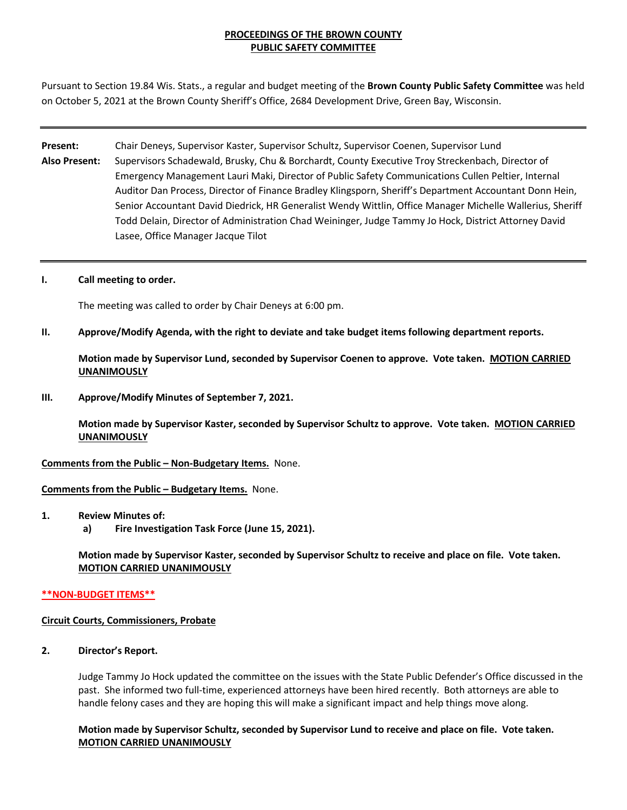# **PROCEEDINGS OF THE BROWN COUNTY PUBLIC SAFETY COMMITTEE**

Pursuant to Section 19.84 Wis. Stats., a regular and budget meeting of the **Brown County Public Safety Committee** was held on October 5, 2021 at the Brown County Sheriff's Office, 2684 Development Drive, Green Bay, Wisconsin.

- **Present:** Chair Deneys, Supervisor Kaster, Supervisor Schultz, Supervisor Coenen, Supervisor Lund **Also Present:** Supervisors Schadewald, Brusky, Chu & Borchardt, County Executive Troy Streckenbach, Director of Emergency Management Lauri Maki, Director of Public Safety Communications Cullen Peltier, Internal Auditor Dan Process, Director of Finance Bradley Klingsporn, Sheriff's Department Accountant Donn Hein, Senior Accountant David Diedrick, HR Generalist Wendy Wittlin, Office Manager Michelle Wallerius, Sheriff Todd Delain, Director of Administration Chad Weininger, Judge Tammy Jo Hock, District Attorney David Lasee, Office Manager Jacque Tilot
- **I. Call meeting to order.**

The meeting was called to order by Chair Deneys at 6:00 pm.

**II. Approve/Modify Agenda, with the right to deviate and take budget items following department reports.**

**Motion made by Supervisor Lund, seconded by Supervisor Coenen to approve. Vote taken. MOTION CARRIED UNANIMOUSLY**

**III. Approve/Modify Minutes of September 7, 2021.** 

**Motion made by Supervisor Kaster, seconded by Supervisor Schultz to approve. Vote taken. MOTION CARRIED UNANIMOUSLY**

**Comments from the Public – Non-Budgetary Items.** None.

**Comments from the Public – Budgetary Items.** None.

- **1. Review Minutes of:** 
	- **a) Fire Investigation Task Force (June 15, 2021).**

**Motion made by Supervisor Kaster, seconded by Supervisor Schultz to receive and place on file. Vote taken. MOTION CARRIED UNANIMOUSLY**

### **\*\*NON-BUDGET ITEMS\*\***

#### **Circuit Courts, Commissioners, Probate**

**2. Director's Report.** 

Judge Tammy Jo Hock updated the committee on the issues with the State Public Defender's Office discussed in the past. She informed two full-time, experienced attorneys have been hired recently. Both attorneys are able to handle felony cases and they are hoping this will make a significant impact and help things move along.

**Motion made by Supervisor Schultz, seconded by Supervisor Lund to receive and place on file. Vote taken. MOTION CARRIED UNANIMOUSLY**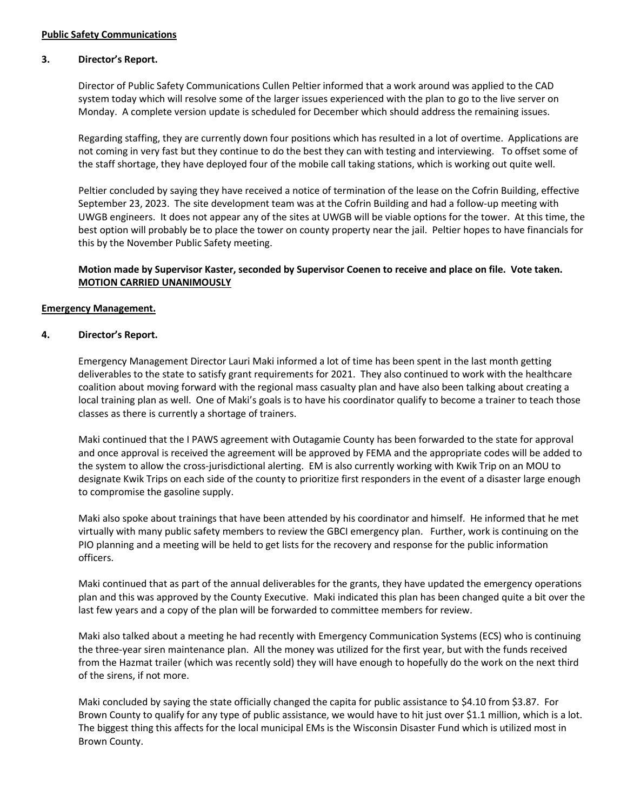# **3. Director's Report.**

Director of Public Safety Communications Cullen Peltier informed that a work around was applied to the CAD system today which will resolve some of the larger issues experienced with the plan to go to the live server on Monday. A complete version update is scheduled for December which should address the remaining issues.

Regarding staffing, they are currently down four positions which has resulted in a lot of overtime. Applications are not coming in very fast but they continue to do the best they can with testing and interviewing. To offset some of the staff shortage, they have deployed four of the mobile call taking stations, which is working out quite well.

Peltier concluded by saying they have received a notice of termination of the lease on the Cofrin Building, effective September 23, 2023. The site development team was at the Cofrin Building and had a follow-up meeting with UWGB engineers. It does not appear any of the sites at UWGB will be viable options for the tower. At this time, the best option will probably be to place the tower on county property near the jail. Peltier hopes to have financials for this by the November Public Safety meeting.

## **Motion made by Supervisor Kaster, seconded by Supervisor Coenen to receive and place on file. Vote taken. MOTION CARRIED UNANIMOUSLY**

## **Emergency Management.**

## **4. Director's Report.**

Emergency Management Director Lauri Maki informed a lot of time has been spent in the last month getting deliverables to the state to satisfy grant requirements for 2021. They also continued to work with the healthcare coalition about moving forward with the regional mass casualty plan and have also been talking about creating a local training plan as well. One of Maki's goals is to have his coordinator qualify to become a trainer to teach those classes as there is currently a shortage of trainers.

Maki continued that the I PAWS agreement with Outagamie County has been forwarded to the state for approval and once approval is received the agreement will be approved by FEMA and the appropriate codes will be added to the system to allow the cross-jurisdictional alerting. EM is also currently working with Kwik Trip on an MOU to designate Kwik Trips on each side of the county to prioritize first responders in the event of a disaster large enough to compromise the gasoline supply.

Maki also spoke about trainings that have been attended by his coordinator and himself. He informed that he met virtually with many public safety members to review the GBCI emergency plan. Further, work is continuing on the PIO planning and a meeting will be held to get lists for the recovery and response for the public information officers.

Maki continued that as part of the annual deliverables for the grants, they have updated the emergency operations plan and this was approved by the County Executive. Maki indicated this plan has been changed quite a bit over the last few years and a copy of the plan will be forwarded to committee members for review.

Maki also talked about a meeting he had recently with Emergency Communication Systems (ECS) who is continuing the three-year siren maintenance plan. All the money was utilized for the first year, but with the funds received from the Hazmat trailer (which was recently sold) they will have enough to hopefully do the work on the next third of the sirens, if not more.

Maki concluded by saying the state officially changed the capita for public assistance to \$4.10 from \$3.87. For Brown County to qualify for any type of public assistance, we would have to hit just over \$1.1 million, which is a lot. The biggest thing this affects for the local municipal EMs is the Wisconsin Disaster Fund which is utilized most in Brown County.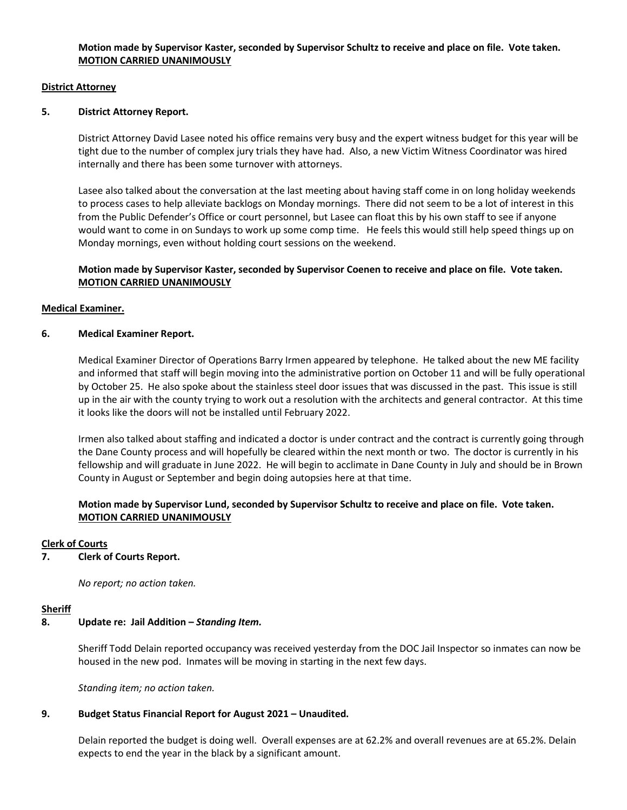### **District Attorney**

## **5. District Attorney Report.**

District Attorney David Lasee noted his office remains very busy and the expert witness budget for this year will be tight due to the number of complex jury trials they have had. Also, a new Victim Witness Coordinator was hired internally and there has been some turnover with attorneys.

Lasee also talked about the conversation at the last meeting about having staff come in on long holiday weekends to process cases to help alleviate backlogs on Monday mornings. There did not seem to be a lot of interest in this from the Public Defender's Office or court personnel, but Lasee can float this by his own staff to see if anyone would want to come in on Sundays to work up some comp time. He feels this would still help speed things up on Monday mornings, even without holding court sessions on the weekend.

## **Motion made by Supervisor Kaster, seconded by Supervisor Coenen to receive and place on file. Vote taken. MOTION CARRIED UNANIMOUSLY**

## **Medical Examiner.**

## **6. Medical Examiner Report.**

Medical Examiner Director of Operations Barry Irmen appeared by telephone. He talked about the new ME facility and informed that staff will begin moving into the administrative portion on October 11 and will be fully operational by October 25. He also spoke about the stainless steel door issues that was discussed in the past. This issue is still up in the air with the county trying to work out a resolution with the architects and general contractor. At this time it looks like the doors will not be installed until February 2022.

Irmen also talked about staffing and indicated a doctor is under contract and the contract is currently going through the Dane County process and will hopefully be cleared within the next month or two. The doctor is currently in his fellowship and will graduate in June 2022. He will begin to acclimate in Dane County in July and should be in Brown County in August or September and begin doing autopsies here at that time.

# **Motion made by Supervisor Lund, seconded by Supervisor Schultz to receive and place on file. Vote taken. MOTION CARRIED UNANIMOUSLY**

### **Clerk of Courts**

**7. Clerk of Courts Report.** 

*No report; no action taken.*

### **Sheriff**

# **8. Update re: Jail Addition –** *Standing Item.*

Sheriff Todd Delain reported occupancy was received yesterday from the DOC Jail Inspector so inmates can now be housed in the new pod. Inmates will be moving in starting in the next few days.

*Standing item; no action taken.* 

### **9. Budget Status Financial Report for August 2021 – Unaudited.**

Delain reported the budget is doing well. Overall expenses are at 62.2% and overall revenues are at 65.2%. Delain expects to end the year in the black by a significant amount.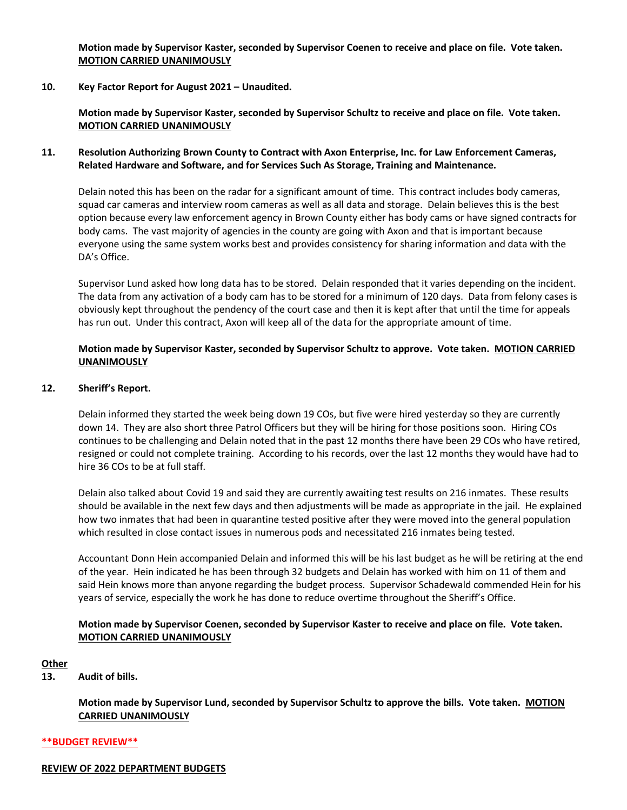**Motion made by Supervisor Kaster, seconded by Supervisor Coenen to receive and place on file. Vote taken. MOTION CARRIED UNANIMOUSLY**

**10. Key Factor Report for August 2021 – Unaudited.**

**Motion made by Supervisor Kaster, seconded by Supervisor Schultz to receive and place on file. Vote taken. MOTION CARRIED UNANIMOUSLY**

### **11. Resolution Authorizing Brown County to Contract with Axon Enterprise, Inc. for Law Enforcement Cameras, Related Hardware and Software, and for Services Such As Storage, Training and Maintenance.**

Delain noted this has been on the radar for a significant amount of time. This contract includes body cameras, squad car cameras and interview room cameras as well as all data and storage. Delain believes this is the best option because every law enforcement agency in Brown County either has body cams or have signed contracts for body cams. The vast majority of agencies in the county are going with Axon and that is important because everyone using the same system works best and provides consistency for sharing information and data with the DA's Office.

Supervisor Lund asked how long data has to be stored. Delain responded that it varies depending on the incident. The data from any activation of a body cam has to be stored for a minimum of 120 days. Data from felony cases is obviously kept throughout the pendency of the court case and then it is kept after that until the time for appeals has run out. Under this contract, Axon will keep all of the data for the appropriate amount of time.

## **Motion made by Supervisor Kaster, seconded by Supervisor Schultz to approve. Vote taken. MOTION CARRIED UNANIMOUSLY**

#### **12. Sheriff's Report.**

Delain informed they started the week being down 19 COs, but five were hired yesterday so they are currently down 14. They are also short three Patrol Officers but they will be hiring for those positions soon. Hiring COs continues to be challenging and Delain noted that in the past 12 months there have been 29 COs who have retired, resigned or could not complete training. According to his records, over the last 12 months they would have had to hire 36 COs to be at full staff.

Delain also talked about Covid 19 and said they are currently awaiting test results on 216 inmates. These results should be available in the next few days and then adjustments will be made as appropriate in the jail. He explained how two inmates that had been in quarantine tested positive after they were moved into the general population which resulted in close contact issues in numerous pods and necessitated 216 inmates being tested.

Accountant Donn Hein accompanied Delain and informed this will be his last budget as he will be retiring at the end of the year. Hein indicated he has been through 32 budgets and Delain has worked with him on 11 of them and said Hein knows more than anyone regarding the budget process. Supervisor Schadewald commended Hein for his years of service, especially the work he has done to reduce overtime throughout the Sheriff's Office.

## **Motion made by Supervisor Coenen, seconded by Supervisor Kaster to receive and place on file. Vote taken. MOTION CARRIED UNANIMOUSLY**

### **Other**

## **13. Audit of bills.**

**Motion made by Supervisor Lund, seconded by Supervisor Schultz to approve the bills. Vote taken. MOTION CARRIED UNANIMOUSLY**

#### **\*\*BUDGET REVIEW\*\***

#### **REVIEW OF 2022 DEPARTMENT BUDGETS**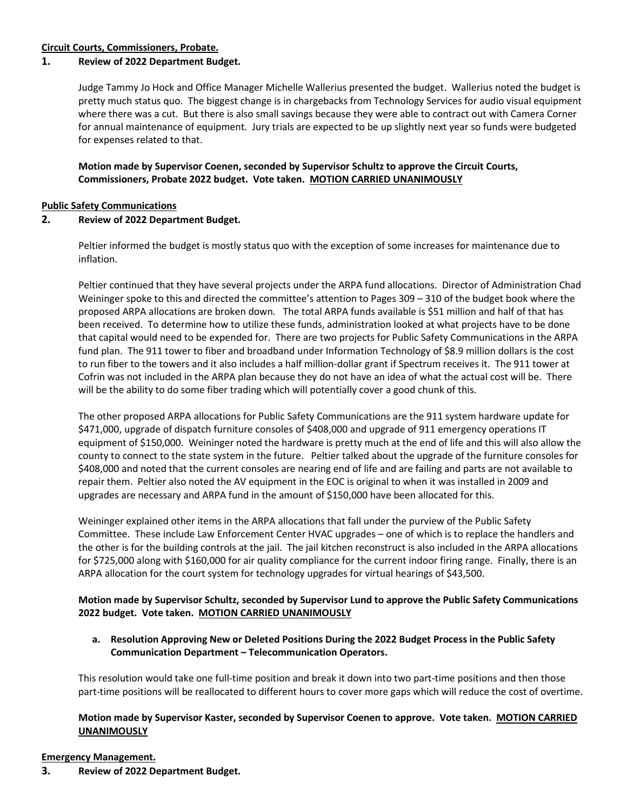## **Circuit Courts, Commissioners, Probate.**

## **1. Review of 2022 Department Budget.**

Judge Tammy Jo Hock and Office Manager Michelle Wallerius presented the budget. Wallerius noted the budget is pretty much status quo. The biggest change is in chargebacks from Technology Services for audio visual equipment where there was a cut. But there is also small savings because they were able to contract out with Camera Corner for annual maintenance of equipment. Jury trials are expected to be up slightly next year so funds were budgeted for expenses related to that.

**Motion made by Supervisor Coenen, seconded by Supervisor Schultz to approve the Circuit Courts, Commissioners, Probate 2022 budget. Vote taken. MOTION CARRIED UNANIMOUSLY**

### **Public Safety Communications**

## **2. Review of 2022 Department Budget.**

Peltier informed the budget is mostly status quo with the exception of some increases for maintenance due to inflation.

Peltier continued that they have several projects under the ARPA fund allocations. Director of Administration Chad Weininger spoke to this and directed the committee's attention to Pages 309 – 310 of the budget book where the proposed ARPA allocations are broken down. The total ARPA funds available is \$51 million and half of that has been received. To determine how to utilize these funds, administration looked at what projects have to be done that capital would need to be expended for. There are two projects for Public Safety Communications in the ARPA fund plan. The 911 tower to fiber and broadband under Information Technology of \$8.9 million dollars is the cost to run fiber to the towers and it also includes a half million-dollar grant if Spectrum receives it. The 911 tower at Cofrin was not included in the ARPA plan because they do not have an idea of what the actual cost will be. There will be the ability to do some fiber trading which will potentially cover a good chunk of this.

The other proposed ARPA allocations for Public Safety Communications are the 911 system hardware update for \$471,000, upgrade of dispatch furniture consoles of \$408,000 and upgrade of 911 emergency operations IT equipment of \$150,000. Weininger noted the hardware is pretty much at the end of life and this will also allow the county to connect to the state system in the future. Peltier talked about the upgrade of the furniture consoles for \$408,000 and noted that the current consoles are nearing end of life and are failing and parts are not available to repair them. Peltier also noted the AV equipment in the EOC is original to when it was installed in 2009 and upgrades are necessary and ARPA fund in the amount of \$150,000 have been allocated for this.

Weininger explained other items in the ARPA allocations that fall under the purview of the Public Safety Committee. These include Law Enforcement Center HVAC upgrades – one of which is to replace the handlers and the other is for the building controls at the jail. The jail kitchen reconstruct is also included in the ARPA allocations for \$725,000 along with \$160,000 for air quality compliance for the current indoor firing range. Finally, there is an ARPA allocation for the court system for technology upgrades for virtual hearings of \$43,500.

# **Motion made by Supervisor Schultz, seconded by Supervisor Lund to approve the Public Safety Communications 2022 budget. Vote taken. MOTION CARRIED UNANIMOUSLY**

**a. Resolution Approving New or Deleted Positions During the 2022 Budget Process in the Public Safety Communication Department – Telecommunication Operators.** 

This resolution would take one full-time position and break it down into two part-time positions and then those part-time positions will be reallocated to different hours to cover more gaps which will reduce the cost of overtime.

# **Motion made by Supervisor Kaster, seconded by Supervisor Coenen to approve. Vote taken. MOTION CARRIED UNANIMOUSLY**

### **Emergency Management.**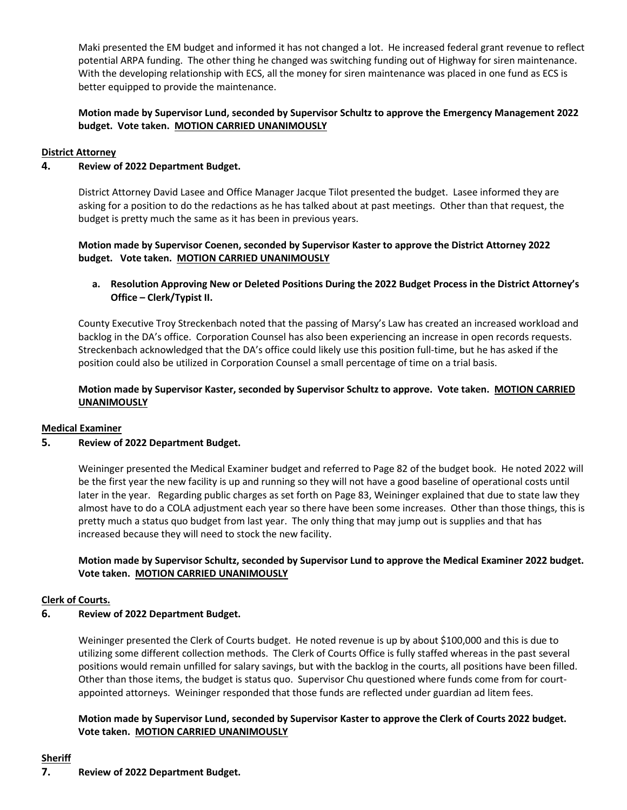Maki presented the EM budget and informed it has not changed a lot. He increased federal grant revenue to reflect potential ARPA funding. The other thing he changed was switching funding out of Highway for siren maintenance. With the developing relationship with ECS, all the money for siren maintenance was placed in one fund as ECS is better equipped to provide the maintenance.

# **Motion made by Supervisor Lund, seconded by Supervisor Schultz to approve the Emergency Management 2022 budget. Vote taken. MOTION CARRIED UNANIMOUSLY**

## **District Attorney**

## **4. Review of 2022 Department Budget.**

District Attorney David Lasee and Office Manager Jacque Tilot presented the budget. Lasee informed they are asking for a position to do the redactions as he has talked about at past meetings. Other than that request, the budget is pretty much the same as it has been in previous years.

**Motion made by Supervisor Coenen, seconded by Supervisor Kaster to approve the District Attorney 2022 budget. Vote taken. MOTION CARRIED UNANIMOUSLY**

# **a. Resolution Approving New or Deleted Positions During the 2022 Budget Process in the District Attorney's Office – Clerk/Typist II.**

County Executive Troy Streckenbach noted that the passing of Marsy's Law has created an increased workload and backlog in the DA's office. Corporation Counsel has also been experiencing an increase in open records requests. Streckenbach acknowledged that the DA's office could likely use this position full-time, but he has asked if the position could also be utilized in Corporation Counsel a small percentage of time on a trial basis.

# **Motion made by Supervisor Kaster, seconded by Supervisor Schultz to approve. Vote taken. MOTION CARRIED UNANIMOUSLY**

### **Medical Examiner**

### **5. Review of 2022 Department Budget.**

Weininger presented the Medical Examiner budget and referred to Page 82 of the budget book. He noted 2022 will be the first year the new facility is up and running so they will not have a good baseline of operational costs until later in the year. Regarding public charges as set forth on Page 83, Weininger explained that due to state law they almost have to do a COLA adjustment each year so there have been some increases. Other than those things, this is pretty much a status quo budget from last year. The only thing that may jump out is supplies and that has increased because they will need to stock the new facility.

# **Motion made by Supervisor Schultz, seconded by Supervisor Lund to approve the Medical Examiner 2022 budget. Vote taken. MOTION CARRIED UNANIMOUSLY**

### **Clerk of Courts.**

# **6. Review of 2022 Department Budget.**

Weininger presented the Clerk of Courts budget. He noted revenue is up by about \$100,000 and this is due to utilizing some different collection methods. The Clerk of Courts Office is fully staffed whereas in the past several positions would remain unfilled for salary savings, but with the backlog in the courts, all positions have been filled. Other than those items, the budget is status quo. Supervisor Chu questioned where funds come from for courtappointed attorneys. Weininger responded that those funds are reflected under guardian ad litem fees.

# **Motion made by Supervisor Lund, seconded by Supervisor Kaster to approve the Clerk of Courts 2022 budget. Vote taken. MOTION CARRIED UNANIMOUSLY**

# **Sheriff**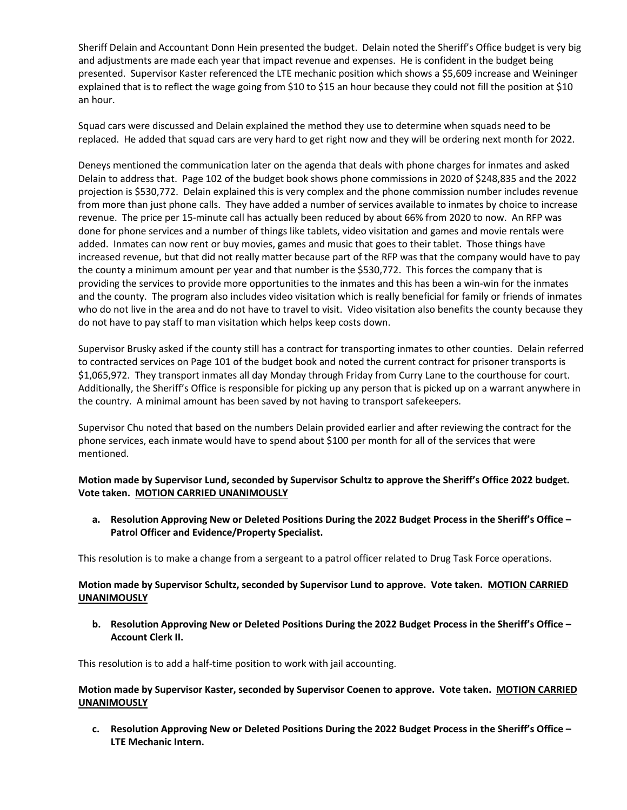Sheriff Delain and Accountant Donn Hein presented the budget. Delain noted the Sheriff's Office budget is very big and adjustments are made each year that impact revenue and expenses. He is confident in the budget being presented. Supervisor Kaster referenced the LTE mechanic position which shows a \$5,609 increase and Weininger explained that is to reflect the wage going from \$10 to \$15 an hour because they could not fill the position at \$10 an hour.

Squad cars were discussed and Delain explained the method they use to determine when squads need to be replaced. He added that squad cars are very hard to get right now and they will be ordering next month for 2022.

Deneys mentioned the communication later on the agenda that deals with phone charges for inmates and asked Delain to address that. Page 102 of the budget book shows phone commissions in 2020 of \$248,835 and the 2022 projection is \$530,772. Delain explained this is very complex and the phone commission number includes revenue from more than just phone calls. They have added a number of services available to inmates by choice to increase revenue. The price per 15-minute call has actually been reduced by about 66% from 2020 to now. An RFP was done for phone services and a number of things like tablets, video visitation and games and movie rentals were added. Inmates can now rent or buy movies, games and music that goes to their tablet. Those things have increased revenue, but that did not really matter because part of the RFP was that the company would have to pay the county a minimum amount per year and that number is the \$530,772. This forces the company that is providing the services to provide more opportunities to the inmates and this has been a win-win for the inmates and the county. The program also includes video visitation which is really beneficial for family or friends of inmates who do not live in the area and do not have to travel to visit. Video visitation also benefits the county because they do not have to pay staff to man visitation which helps keep costs down.

Supervisor Brusky asked if the county still has a contract for transporting inmates to other counties. Delain referred to contracted services on Page 101 of the budget book and noted the current contract for prisoner transports is \$1,065,972. They transport inmates all day Monday through Friday from Curry Lane to the courthouse for court. Additionally, the Sheriff's Office is responsible for picking up any person that is picked up on a warrant anywhere in the country. A minimal amount has been saved by not having to transport safekeepers.

Supervisor Chu noted that based on the numbers Delain provided earlier and after reviewing the contract for the phone services, each inmate would have to spend about \$100 per month for all of the services that were mentioned.

# **Motion made by Supervisor Lund, seconded by Supervisor Schultz to approve the Sheriff's Office 2022 budget. Vote taken. MOTION CARRIED UNANIMOUSLY**

**a. Resolution Approving New or Deleted Positions During the 2022 Budget Process in the Sheriff's Office – Patrol Officer and Evidence/Property Specialist.**

This resolution is to make a change from a sergeant to a patrol officer related to Drug Task Force operations.

# **Motion made by Supervisor Schultz, seconded by Supervisor Lund to approve. Vote taken. MOTION CARRIED UNANIMOUSLY**

**b. Resolution Approving New or Deleted Positions During the 2022 Budget Process in the Sheriff's Office – Account Clerk II.**

This resolution is to add a half-time position to work with jail accounting.

## **Motion made by Supervisor Kaster, seconded by Supervisor Coenen to approve. Vote taken. MOTION CARRIED UNANIMOUSLY**

**c. Resolution Approving New or Deleted Positions During the 2022 Budget Process in the Sheriff's Office – LTE Mechanic Intern.**